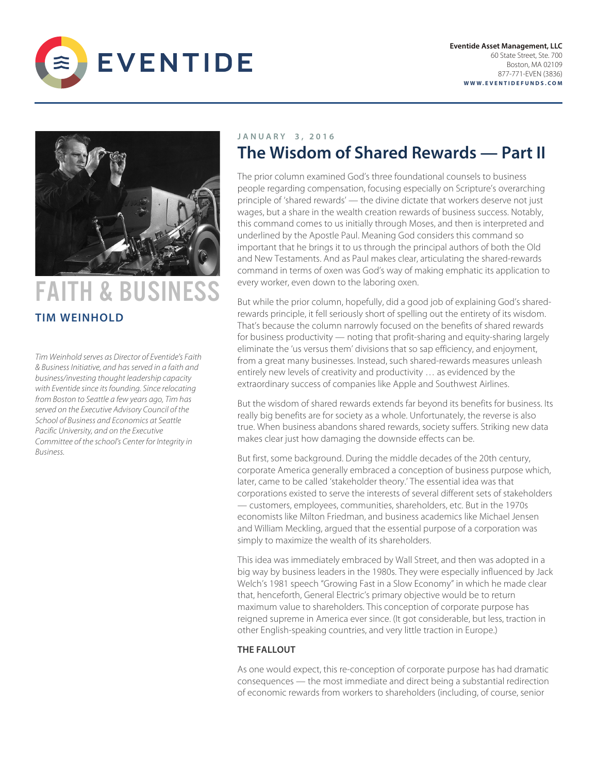



# FAITH & BUSINESS **TIM WEINHOLD**

*Tim Weinhold serves as Director of Eventide's Faith & Business Initiative, and has served in a faith and business/investing thought leadership capacity with Eventide since its founding. Since relocating from Boston to Seattle a few years ago, Tim has served on the Executive Advisory Council of the School of Business and Economics at Seattle Pacific University, and on the Executive Committee of the school's Center for Integrity in Business.* 

## **JANUARY 3 , 201 6 The Wisdom of Shared Rewards — Part II**

The prior column examined God's three foundational counsels to business people regarding compensation, focusing especially on Scripture's overarching principle of 'shared rewards' — the divine dictate that workers deserve not just wages, but a share in the wealth creation rewards of business success. Notably, this command comes to us initially through Moses, and then is interpreted and underlined by the Apostle Paul. Meaning God considers this command so important that he brings it to us through the principal authors of both the Old and New Testaments. And as Paul makes clear, articulating the shared-rewards command in terms of oxen was God's way of making emphatic its application to every worker, even down to the laboring oxen.

But while the prior column, hopefully, did a good job of explaining God's sharedrewards principle, it fell seriously short of spelling out the entirety of its wisdom. That's because the column narrowly focused on the benefits of shared rewards for business productivity — noting that profit-sharing and equity-sharing largely eliminate the 'us versus them' divisions that so sap efficiency, and enjoyment, from a great many businesses. Instead, such shared-rewards measures unleash entirely new levels of creativity and productivity … as evidenced by the extraordinary success of companies like Apple and Southwest Airlines.

But the wisdom of shared rewards extends far beyond its benefits for business. Its really big benefits are for society as a whole. Unfortunately, the reverse is also true. When business abandons shared rewards, society suffers. Striking new data makes clear just how damaging the downside effects can be.

But first, some background. During the middle decades of the 20th century, corporate America generally embraced a conception of business purpose which, later, came to be called 'stakeholder theory.' The essential idea was that corporations existed to serve the interests of several different sets of stakeholders — customers, employees, communities, shareholders, etc. But in the 1970s economists like Milton Friedman, and business academics like Michael Jensen and William Meckling, argued that the essential purpose of a corporation was simply to maximize the wealth of its shareholders.

This idea was immediately embraced by Wall Street, and then was adopted in a big way by business leaders in the 1980s. They were especially influenced by Jack Welch's 1981 speech "Growing Fast in a Slow Economy" in which he made clear that, henceforth, General Electric's primary objective would be to return maximum value to shareholders. This conception of corporate purpose has reigned supreme in America ever since. (It got considerable, but less, traction in other English-speaking countries, and very little traction in Europe.)

### **THE FALLOUT**

As one would expect, this re-conception of corporate purpose has had dramatic consequences — the most immediate and direct being a substantial redirection of economic rewards from workers to shareholders (including, of course, senior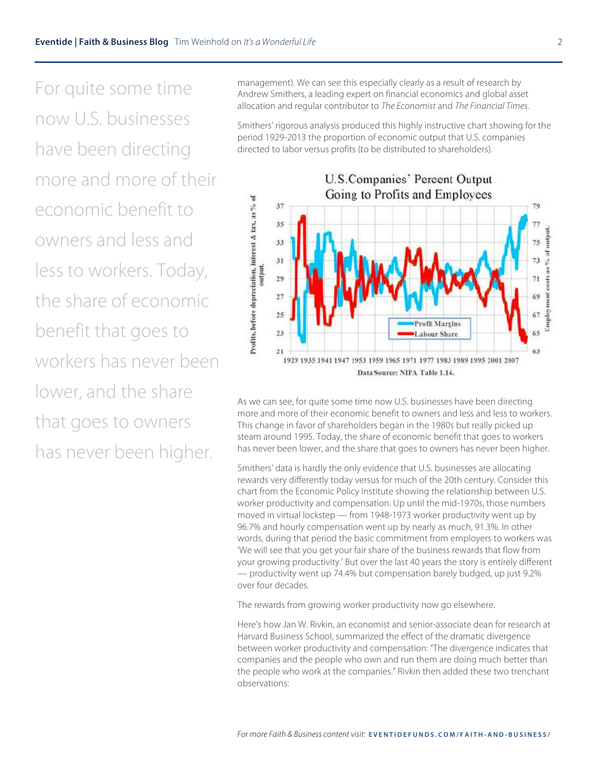For quite some time now U.S. businesses have been directing more and more of their economic benefit to owners and less and less to workers. Today, the share of economic benefit that goes to workers has never been lower, and the share that goes to owners has never been higher.

management). We can see this especially clearly as a result of research by Andrew Smithers, a leading expert on financial economics and global asset allocation and regular contributor to *The Economist* and *The Financial Times*.

Smithers' rigorous analysis produced this highly instructive chart showing for the period 1929-2013 the proportion of economic output that U.S. companies directed to labor versus profits (to be distributed to shareholders).



As we can see, for quite some time now U.S. businesses have been directing more and more of their economic benefit to owners and less and less to workers. This change in favor of shareholders began in the 1980s but really picked up steam around 1995. Today, the share of economic benefit that goes to workers has never been lower, and the share that goes to owners has never been higher.

Smithers' data is hardly the only evidence that U.S. businesses are allocating rewards very differently today versus for much of the 20th century. Consider this chart from the Economic Policy Institute showing the relationship between U.S. worker productivity and compensation. Up until the mid-1970s, those numbers moved in virtual lockstep — from 1948-1973 worker productivity went up by 96.7% and hourly compensation went up by nearly as much, 91.3%. In other words, during that period the basic commitment from employers to workers was 'We will see that you get your fair share of the business rewards that flow from your growing productivity.' But over the last 40 years the story is entirely different — productivity went up 74.4% but compensation barely budged, up just 9.2% over four decades.

The rewards from growing worker productivity now go elsewhere.

Here's how Jan W. Rivkin, an economist and senior-associate dean for research at Harvard Business School, summarized the effect of the dramatic divergence between worker productivity and compensation: "The divergence indicates that companies and the people who own and run them are doing much better than the people who work at the companies." Rivkin then added these two trenchant observations: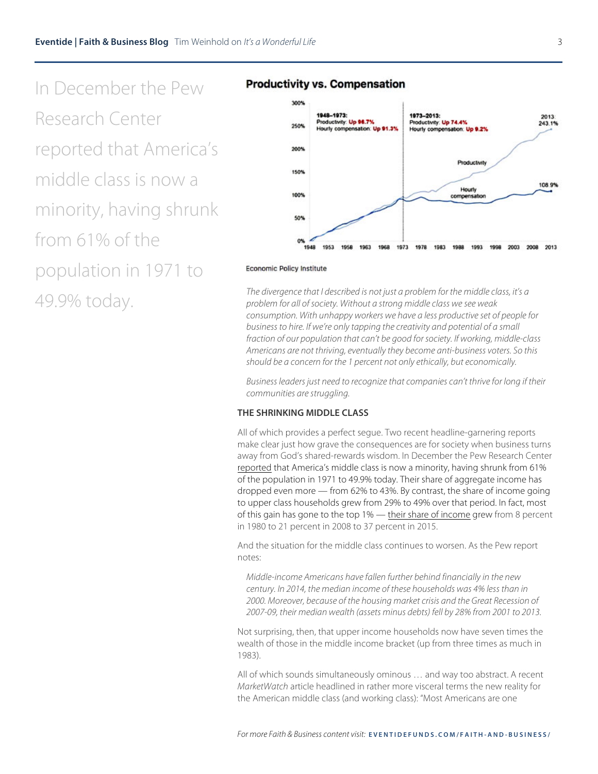In December the Pew Research Center reported that America's middle class is now a minority, having shrunk from 61% of the population in 1971 to

#### **Productivity vs. Compensation**



#### **Economic Policy Institute**

49.9% today. *The divergence that I described is not just a problem for the middle class, it's a problem for all of society. Without a strong middle class we see weak consumption. With unhappy workers we have a less productive set of people for business to hire. If we're only tapping the creativity and potential of a small fraction of our population that can't be good for society. If working, middle-class Americans are not thriving, eventually they become anti-business voters. So this should be a concern for the 1 percent not only ethically, but economically.*

> *Business leaders just need to recognize that companies can't thrive for long if their communities are struggling.*

#### **THE SHRINKING MIDDLE CLASS**

All of which provides a perfect segue. Two recent headline-garnering reports make clear just how grave the consequences are for society when business turns away from God's shared-rewards wisdom. In December the Pew Research Center reported that America's middle class is now a minority, having shrunk from 61% of the population in 1971 to 49.9% today. Their share of aggregate income has dropped even more — from 62% to 43%. By contrast, the share of income going to upper class households grew from 29% to 49% over that period. In fact, most of this gain has gone to the top 1% — their share of income grew from 8 percent in 1980 to 21 percent in 2008 to 37 percent in 2015.

And the situation for the middle class continues to worsen. As the Pew report notes:

*Middle-income Americans have fallen further behind financially in the new century. In 2014, the median income of these households was 4% less than in 2000. Moreover, because of the housing market crisis and the Great Recession of 2007-09, their median wealth (assets minus debts) fell by 28% from 2001 to 2013.*

Not surprising, then, that upper income households now have seven times the wealth of those in the middle income bracket (up from three times as much in 1983).

All of which sounds simultaneously ominous … and way too abstract. A recent *MarketWatch* article headlined in rather more visceral terms the new reality for the American middle class (and working class): "Most Americans are one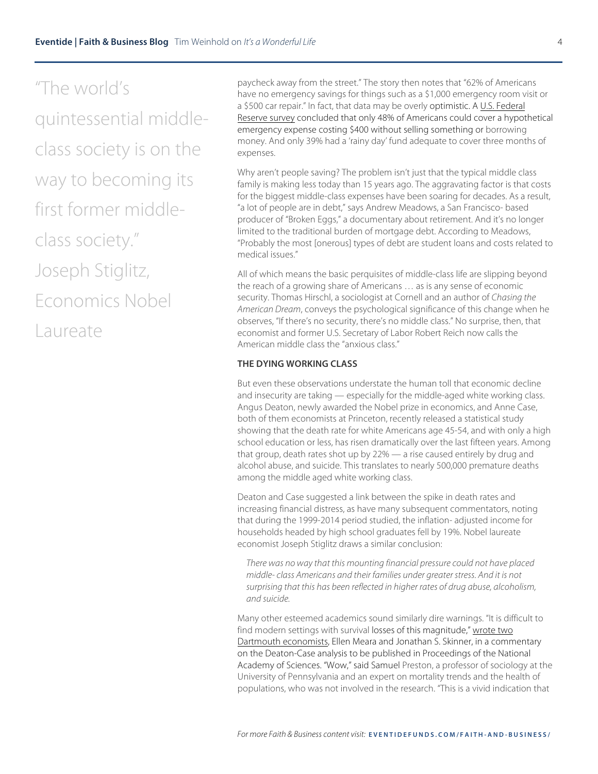"The world's quintessential middleclass society is on the way to becoming its first former middleclass society." Joseph Stiglitz, Economics Nobel Laureate

paycheck away from the street." The story then notes that "62% of Americans have no emergency savings for things such as a \$1,000 emergency room visit or a \$500 car repair." In fact, that data may be overly optimistic. A U.S. Federal Reserve survey concluded that only 48% of Americans could cover a hypothetical emergency expense costing \$400 without selling something or borrowing money. And only 39% had a 'rainy day' fund adequate to cover three months of expenses.

Why aren't people saving? The problem isn't just that the typical middle class family is making less today than 15 years ago. The aggravating factor is that costs for the biggest middle-class expenses have been soaring for decades. As a result, "a lot of people are in debt," says Andrew Meadows, a San Francisco- based producer of "Broken Eggs," a documentary about retirement. And it's no longer limited to the traditional burden of mortgage debt. According to Meadows, "Probably the most [onerous] types of debt are student loans and costs related to medical issues."

All of which means the basic perquisites of middle-class life are slipping beyond the reach of a growing share of Americans … as is any sense of economic security. Thomas Hirschl, a sociologist at Cornell and an author of *Chasing the American Dream*, conveys the psychological significance of this change when he observes, "If there's no security, there's no middle class." No surprise, then, that economist and former U.S. Secretary of Labor Robert Reich now calls the American middle class the "anxious class."

#### **THE DYING WORKING CLASS**

But even these observations understate the human toll that economic decline and insecurity are taking — especially for the middle-aged white working class. Angus Deaton, newly awarded the Nobel prize in economics, and Anne Case, both of them economists at Princeton, recently released a statistical study showing that the death rate for white Americans age 45-54, and with only a high school education or less, has risen dramatically over the last fifteen years. Among that group, death rates shot up by 22% — a rise caused entirely by drug and alcohol abuse, and suicide. This translates to nearly 500,000 premature deaths among the middle aged white working class.

Deaton and Case suggested a link between the spike in death rates and increasing financial distress, as have many subsequent commentators, noting that during the 1999-2014 period studied, the inflation- adjusted income for households headed by high school graduates fell by 19%. Nobel laureate economist Joseph Stiglitz draws a similar conclusion:

*There was no way that this mounting financial pressure could not have placed middle- class Americans and their families under greater stress. And it is not surprising that this has been reflected in higher rates of drug abuse, alcoholism, and suicide.*

Many other esteemed academics sound similarly dire warnings. "It is difficult to find modern settings with survival losses of this magnitude," wrote two Dartmouth economists, Ellen Meara and Jonathan S. Skinner, in a commentary on the Deaton-Case analysis to be published in Proceedings of the National Academy of Sciences. "Wow," said Samuel Preston, a professor of sociology at the University of Pennsylvania and an expert on mortality trends and the health of populations, who was not involved in the research. "This is a vivid indication that